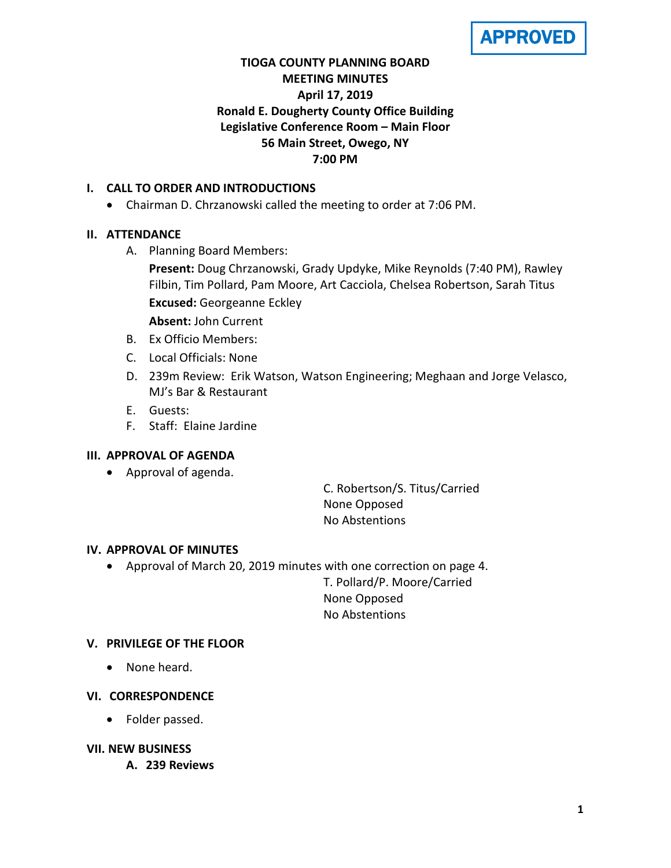**APPROVED** 

# **TIOGA COUNTY PLANNING BOARD MEETING MINUTES April 17, 2019 Ronald E. Dougherty County Office Building Legislative Conference Room – Main Floor 56 Main Street, Owego, NY 7:00 PM**

## **I. CALL TO ORDER AND INTRODUCTIONS**

• Chairman D. Chrzanowski called the meeting to order at 7:06 PM.

# **II. ATTENDANCE**

- A. Planning Board Members:
	- **Present:** Doug Chrzanowski, Grady Updyke, Mike Reynolds (7:40 PM), Rawley Filbin, Tim Pollard, Pam Moore, Art Cacciola, Chelsea Robertson, Sarah Titus **Excused:** Georgeanne Eckley
	- **Absent:** John Current
- B. Ex Officio Members:
- C. Local Officials: None
- D. 239m Review: Erik Watson, Watson Engineering; Meghaan and Jorge Velasco, MJ's Bar & Restaurant
- E. Guests:
- F. Staff: Elaine Jardine

### **III. APPROVAL OF AGENDA**

• Approval of agenda.

C. Robertson/S. Titus/Carried None Opposed No Abstentions

### **IV. APPROVAL OF MINUTES**

• Approval of March 20, 2019 minutes with one correction on page 4.

T. Pollard/P. Moore/Carried None Opposed No Abstentions

### **V. PRIVILEGE OF THE FLOOR**

• None heard.

### **VI. CORRESPONDENCE**

• Folder passed.

### **VII. NEW BUSINESS**

**A. 239 Reviews**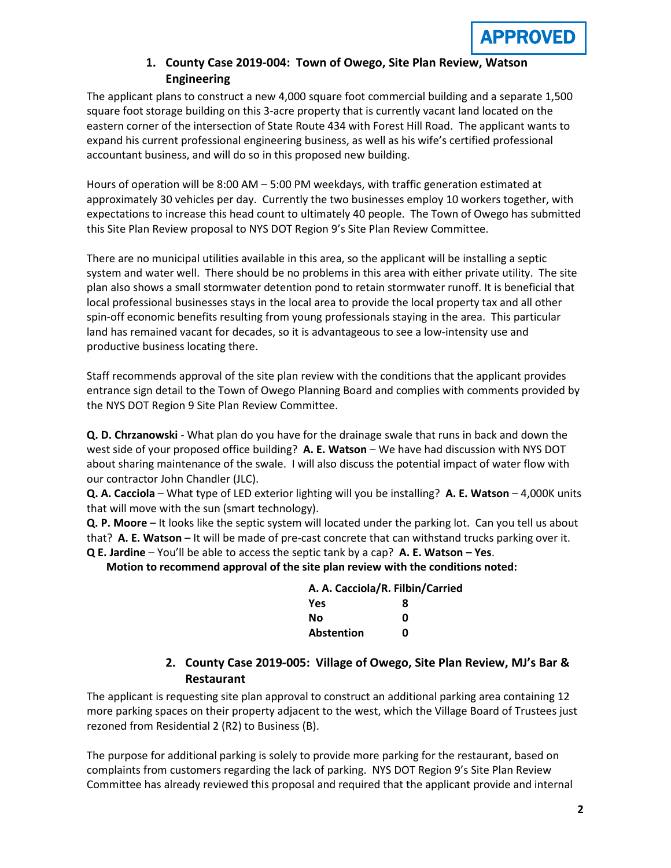## **1. County Case 2019-004: Town of Owego, Site Plan Review, Watson Engineering**

The applicant plans to construct a new 4,000 square foot commercial building and a separate 1,500 square foot storage building on this 3-acre property that is currently vacant land located on the eastern corner of the intersection of State Route 434 with Forest Hill Road. The applicant wants to expand his current professional engineering business, as well as his wife's certified professional accountant business, and will do so in this proposed new building.

Hours of operation will be 8:00 AM – 5:00 PM weekdays, with traffic generation estimated at approximately 30 vehicles per day. Currently the two businesses employ 10 workers together, with expectations to increase this head count to ultimately 40 people. The Town of Owego has submitted this Site Plan Review proposal to NYS DOT Region 9's Site Plan Review Committee.

There are no municipal utilities available in this area, so the applicant will be installing a septic system and water well. There should be no problems in this area with either private utility. The site plan also shows a small stormwater detention pond to retain stormwater runoff. It is beneficial that local professional businesses stays in the local area to provide the local property tax and all other spin-off economic benefits resulting from young professionals staying in the area. This particular land has remained vacant for decades, so it is advantageous to see a low-intensity use and productive business locating there.

Staff recommends approval of the site plan review with the conditions that the applicant provides entrance sign detail to the Town of Owego Planning Board and complies with comments provided by the NYS DOT Region 9 Site Plan Review Committee.

**Q. D. Chrzanowski** - What plan do you have for the drainage swale that runs in back and down the west side of your proposed office building? **A. E. Watson** – We have had discussion with NYS DOT about sharing maintenance of the swale. I will also discuss the potential impact of water flow with our contractor John Chandler (JLC).

**Q. A. Cacciola** – What type of LED exterior lighting will you be installing? **A. E. Watson** – 4,000K units that will move with the sun (smart technology).

**Q. P. Moore** – It looks like the septic system will located under the parking lot. Can you tell us about that? **A. E. Watson** – It will be made of pre-cast concrete that can withstand trucks parking over it.

**Q E. Jardine** – You'll be able to access the septic tank by a cap? **A. E. Watson – Yes**.

**Motion to recommend approval of the site plan review with the conditions noted:**

| A. A. Cacciola/R. Filbin/Carried |   |  |
|----------------------------------|---|--|
| Yes                              | 8 |  |
| Nο                               | ŋ |  |
| <b>Abstention</b>                | n |  |

# **2. County Case 2019-005: Village of Owego, Site Plan Review, MJ's Bar & Restaurant**

The applicant is requesting site plan approval to construct an additional parking area containing 12 more parking spaces on their property adjacent to the west, which the Village Board of Trustees just rezoned from Residential 2 (R2) to Business (B).

The purpose for additional parking is solely to provide more parking for the restaurant, based on complaints from customers regarding the lack of parking. NYS DOT Region 9's Site Plan Review Committee has already reviewed this proposal and required that the applicant provide and internal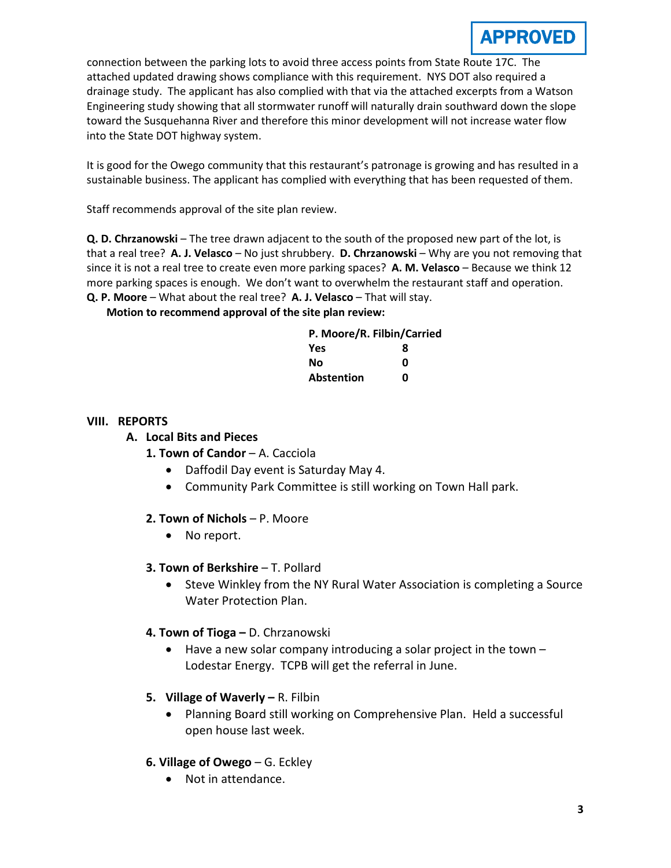

connection between the parking lots to avoid three access points from State Route 17C. The attached updated drawing shows compliance with this requirement. NYS DOT also required a drainage study. The applicant has also complied with that via the attached excerpts from a Watson Engineering study showing that all stormwater runoff will naturally drain southward down the slope toward the Susquehanna River and therefore this minor development will not increase water flow into the State DOT highway system.

It is good for the Owego community that this restaurant's patronage is growing and has resulted in a sustainable business. The applicant has complied with everything that has been requested of them.

Staff recommends approval of the site plan review.

**Q. D. Chrzanowski** – The tree drawn adjacent to the south of the proposed new part of the lot, is that a real tree? **A. J. Velasco** – No just shrubbery. **D. Chrzanowski** – Why are you not removing that since it is not a real tree to create even more parking spaces? **A. M. Velasco** – Because we think 12 more parking spaces is enough. We don't want to overwhelm the restaurant staff and operation. **Q. P. Moore** – What about the real tree? **A. J. Velasco** – That will stay.

### **Motion to recommend approval of the site plan review:**

| P. Moore/R. Filbin/Carried |   |
|----------------------------|---|
| <b>Yes</b>                 | 8 |
| No                         | ŋ |
| <b>Abstention</b>          | ŋ |

#### **VIII. REPORTS**

### **A. Local Bits and Pieces**

- 1. Town of Candor A. Cacciola
	- Daffodil Day event is Saturday May 4.
	- Community Park Committee is still working on Town Hall park.

### **2. Town of Nichols** – P. Moore

• No report.

### **3. Town of Berkshire** – T. Pollard

• Steve Winkley from the NY Rural Water Association is completing a Source Water Protection Plan.

### **4. Town of Tioga –** D. Chrzanowski

- Have a new solar company introducing a solar project in the town Lodestar Energy. TCPB will get the referral in June.
- **5. Village of Waverly –** R. Filbin
	- Planning Board still working on Comprehensive Plan. Held a successful open house last week.
- **6. Village of Owego** G. Eckley
	- Not in attendance.